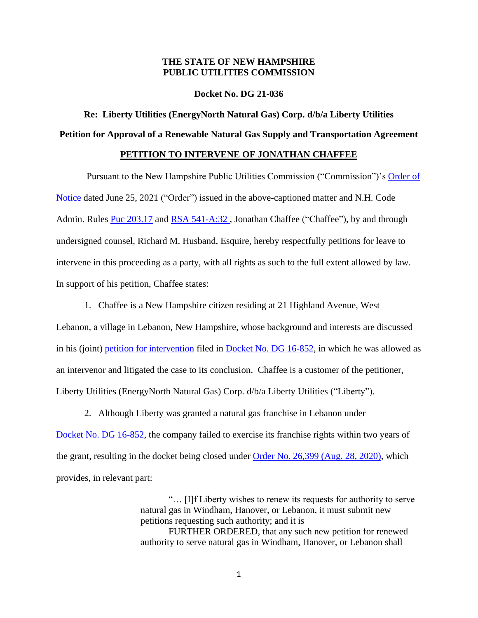## **THE STATE OF NEW HAMPSHIRE PUBLIC UTILITIES COMMISSION**

**Docket No. DG 21-036**

**Re: Liberty Utilities (EnergyNorth Natural Gas) Corp. d/b/a Liberty Utilities Petition for Approval of a Renewable Natural Gas Supply and Transportation Agreement**

## **PETITION TO INTERVENE OF JONATHAN CHAFFEE**

Pursuant to the New Hampshire Public Utilities Commission ("Commission")'s [Order of](https://puc.nh.gov/Regulatory/Docketbk/2021/21-036/ORDERS/21-036_2021-06-25_OON.PDF)  [Notice](https://puc.nh.gov/Regulatory/Docketbk/2021/21-036/ORDERS/21-036_2021-06-25_OON.PDF) dated June 25, 2021 ("Order") issued in the above-captioned matter and N.H. Code Admin. Rules [Puc 203.17](https://www.puc.nh.gov/Regulatory/Rules/Puc200.pdf) and RSA 541-A:32, Jonathan Chaffee ("Chaffee"), by and through undersigned counsel, Richard M. Husband, Esquire, hereby respectfully petitions for leave to intervene in this proceeding as a party, with all rights as such to the full extent allowed by law. In support of his petition, Chaffee states:

1. Chaffee is a New Hampshire citizen residing at 21 Highland Avenue, West Lebanon, a village in Lebanon, New Hampshire, whose background and interests are discussed in his (joint) [petition for intervention](https://puc.nh.gov/Regulatory/Docketbk/2016/16-852/MOTIONS-OBJECTIONS/16-852_2017-03-17_ARWEN_CHAFFEE_PETITION_INTERVENE.PDF) filed in [Docket No.](https://puc.nh.gov/Regulatory/Docketbk/2016/16-852.html) DG 16-852, in which he was allowed as an intervenor and litigated the case to its conclusion. Chaffee is a customer of the petitioner, Liberty Utilities (EnergyNorth Natural Gas) Corp. d/b/a Liberty Utilities ("Liberty").

2. Although Liberty was granted a natural gas franchise in Lebanon under [Docket No. DG 16-852,](https://puc.nh.gov/Regulatory/Docketbk/2016/16-852.html) the company failed to exercise its franchise rights within two years of the grant, resulting in the docket being closed under [Order No. 26,399 \(Aug. 28, 2020\),](https://puc.nh.gov/Regulatory/Orders/2020Orders/26399g.pdf) which provides, in relevant part:

> "… [I]f Liberty wishes to renew its requests for authority to serve natural gas in Windham, Hanover, or Lebanon, it must submit new petitions requesting such authority; and it is FURTHER ORDERED, that any such new petition for renewed authority to serve natural gas in Windham, Hanover, or Lebanon shall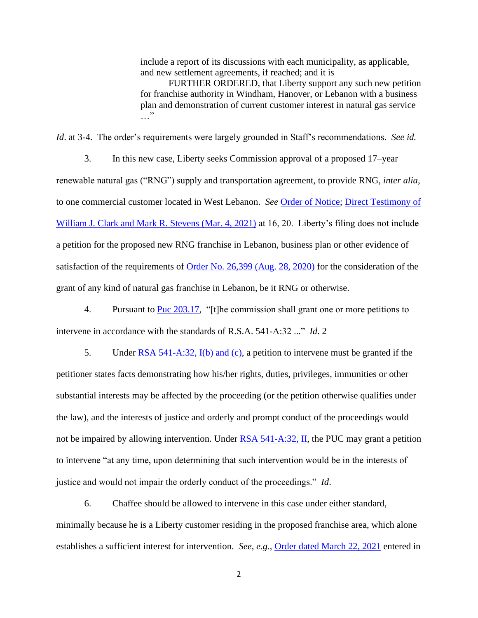include a report of its discussions with each municipality, as applicable, and new settlement agreements, if reached; and it is

FURTHER ORDERED, that Liberty support any such new petition for franchise authority in Windham, Hanover, or Lebanon with a business plan and demonstration of current customer interest in natural gas service …"

*Id*. at 3-4. The order's requirements were largely grounded in Staff's recommendations. *See id.*

3. In this new case, Liberty seeks Commission approval of a proposed 17–year renewable natural gas ("RNG") supply and transportation agreement, to provide RNG, *inter alia*, to one commercial customer located in West Lebanon. *See* [Order of Notice;](https://puc.nh.gov/Regulatory/Docketbk/2021/21-036/ORDERS/21-036_2021-06-25_OON.PDF) [Direct Testimony of](https://puc.nh.gov/Regulatory/Docketbk/2021/21-036/INITIAL%20FILING%20-%20PETITION/21-036_2021-03-04_ENGI_TESTIMONY_CLARK_STEVENS.PDF)  [William J. Clark and Mark R. Stevens \(Mar. 4, 2021\)](https://puc.nh.gov/Regulatory/Docketbk/2021/21-036/INITIAL%20FILING%20-%20PETITION/21-036_2021-03-04_ENGI_TESTIMONY_CLARK_STEVENS.PDF) at 16, 20. Liberty's filing does not include a petition for the proposed new RNG franchise in Lebanon, business plan or other evidence of satisfaction of the requirements of [Order No. 26,399 \(Aug. 28, 2020\)](https://puc.nh.gov/Regulatory/Orders/2020Orders/26399g.pdf) for the consideration of the grant of any kind of natural gas franchise in Lebanon, be it RNG or otherwise.

4. Pursuant to [Puc 203.17,](https://puc.nh.gov/Regulatory/Rules/Puc200.pdf) "[t]he commission shall grant one or more petitions to intervene in accordance with the standards of R.S.A. 541-A:32 ..." *Id*. 2

5. Under [RSA 541-A:32, I\(b\) and \(c\),](http://www.gencourt.state.nh.us/rsa/html/LV/541-A/541-A-32.htm) a petition to intervene must be granted if the petitioner states facts demonstrating how his/her rights, duties, privileges, immunities or other substantial interests may be affected by the proceeding (or the petition otherwise qualifies under the law), and the interests of justice and orderly and prompt conduct of the proceedings would not be impaired by allowing intervention. Under  $\overline{RSA}$  541-A:32, II, the PUC may grant a petition to intervene "at any time, upon determining that such intervention would be in the interests of justice and would not impair the orderly conduct of the proceedings." *Id*.

6. Chaffee should be allowed to intervene in this case under either standard, minimally because he is a Liberty customer residing in the proposed franchise area, which alone establishes a sufficient interest for intervention. *See*, *e.g.*, [Order dated March 22, 2021](https://puc.nh.gov/Regulatory/Docketbk/2020/20-156/LETTERS-MEMOS-TARIFFS/20-156_2021-03-22_SEC_LTR_GRANTING_INTERVENTIONS.PDF) entered in

2